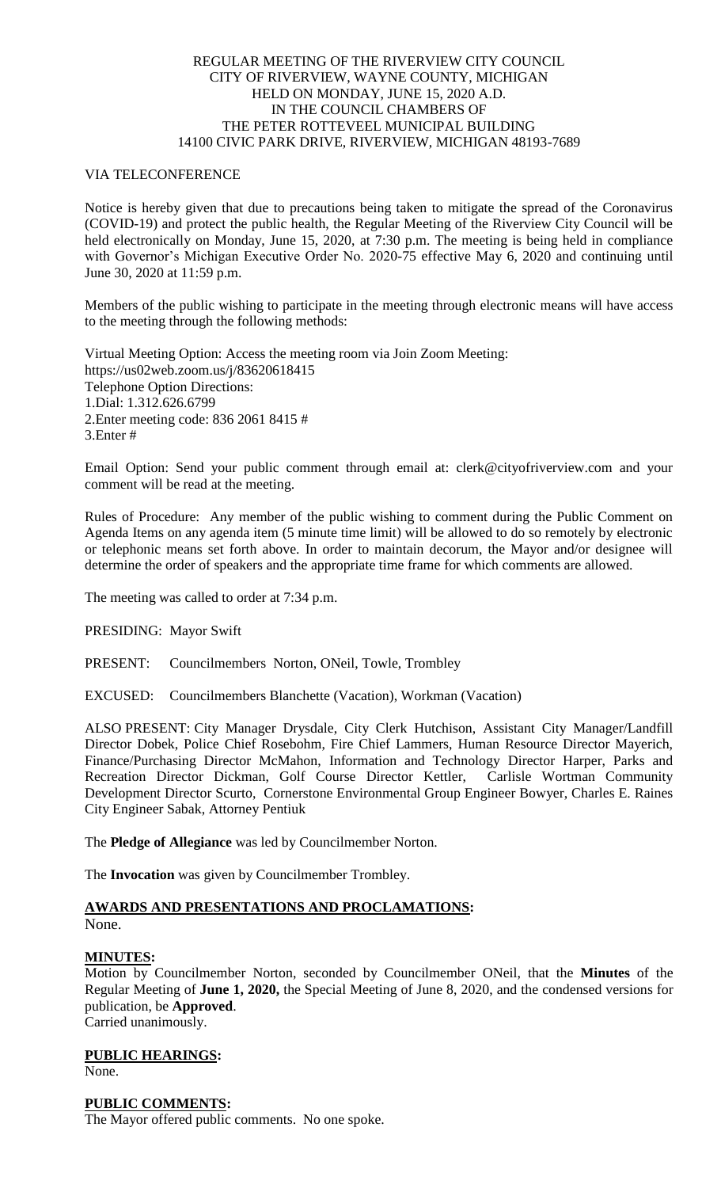### REGULAR MEETING OF THE RIVERVIEW CITY COUNCIL CITY OF RIVERVIEW, WAYNE COUNTY, MICHIGAN HELD ON MONDAY, JUNE 15, 2020 A.D. IN THE COUNCIL CHAMBERS OF THE PETER ROTTEVEEL MUNICIPAL BUILDING 14100 CIVIC PARK DRIVE, RIVERVIEW, MICHIGAN 48193-7689

### VIA TELECONFERENCE

Notice is hereby given that due to precautions being taken to mitigate the spread of the Coronavirus (COVID-19) and protect the public health, the Regular Meeting of the Riverview City Council will be held electronically on Monday, June 15, 2020, at 7:30 p.m. The meeting is being held in compliance with Governor's Michigan Executive Order No. 2020-75 effective May 6, 2020 and continuing until June 30, 2020 at 11:59 p.m.

Members of the public wishing to participate in the meeting through electronic means will have access to the meeting through the following methods:

Virtual Meeting Option: Access the meeting room via Join Zoom Meeting: https://us02web.zoom.us/j/83620618415 Telephone Option Directions: 1.Dial: 1.312.626.6799 2.Enter meeting code: 836 2061 8415 # 3.Enter #

Email Option: Send your public comment through email at: clerk@cityofriverview.com and your comment will be read at the meeting.

Rules of Procedure: Any member of the public wishing to comment during the Public Comment on Agenda Items on any agenda item (5 minute time limit) will be allowed to do so remotely by electronic or telephonic means set forth above. In order to maintain decorum, the Mayor and/or designee will determine the order of speakers and the appropriate time frame for which comments are allowed.

The meeting was called to order at 7:34 p.m.

PRESIDING: Mayor Swift

PRESENT: Councilmembers Norton, ONeil, Towle, Trombley

EXCUSED: Councilmembers Blanchette (Vacation), Workman (Vacation)

ALSO PRESENT: City Manager Drysdale, City Clerk Hutchison, Assistant City Manager/Landfill Director Dobek, Police Chief Rosebohm, Fire Chief Lammers, Human Resource Director Mayerich, Finance/Purchasing Director McMahon, Information and Technology Director Harper, Parks and Recreation Director Dickman, Golf Course Director Kettler, Carlisle Wortman Community Development Director Scurto, Cornerstone Environmental Group Engineer Bowyer, Charles E. Raines City Engineer Sabak, Attorney Pentiuk

The **Pledge of Allegiance** was led by Councilmember Norton.

The **Invocation** was given by Councilmember Trombley.

#### **AWARDS AND PRESENTATIONS AND PROCLAMATIONS:** None.

# **MINUTES:**

Motion by Councilmember Norton, seconded by Councilmember ONeil, that the **Minutes** of the Regular Meeting of **June 1, 2020,** the Special Meeting of June 8, 2020, and the condensed versions for publication, be **Approved**. Carried unanimously.

**PUBLIC HEARINGS:** None.

# **PUBLIC COMMENTS:**

The Mayor offered public comments. No one spoke.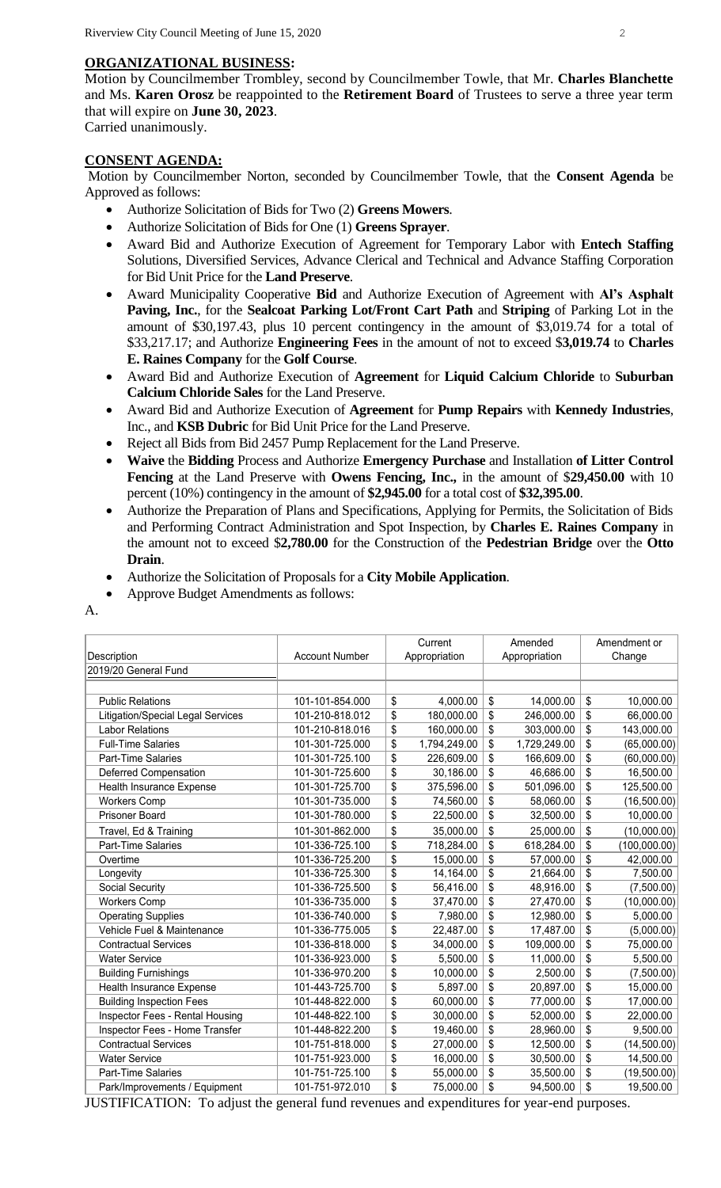# **ORGANIZATIONAL BUSINESS:**

Motion by Councilmember Trombley, second by Councilmember Towle, that Mr. **Charles Blanchette** and Ms. **Karen Orosz** be reappointed to the **Retirement Board** of Trustees to serve a three year term that will expire on **June 30, 2023**. Carried unanimously.

# **CONSENT AGENDA:**

Motion by Councilmember Norton, seconded by Councilmember Towle, that the **Consent Agenda** be Approved as follows:

- Authorize Solicitation of Bids for Two (2) **Greens Mowers**.
- Authorize Solicitation of Bids for One (1) **Greens Sprayer**.
- Award Bid and Authorize Execution of Agreement for Temporary Labor with **Entech Staffing** Solutions, Diversified Services, Advance Clerical and Technical and Advance Staffing Corporation for Bid Unit Price for the **Land Preserve**.
- Award Municipality Cooperative **Bid** and Authorize Execution of Agreement with **Al's Asphalt Paving, Inc.**, for the **Sealcoat Parking Lot/Front Cart Path** and **Striping** of Parking Lot in the amount of \$30,197.43, plus 10 percent contingency in the amount of \$3,019.74 for a total of \$33,217.17; and Authorize **Engineering Fees** in the amount of not to exceed \$**3,019.74** to **Charles E. Raines Company** for the **Golf Course**.
- Award Bid and Authorize Execution of **Agreement** for **Liquid Calcium Chloride** to **Suburban Calcium Chloride Sales** for the Land Preserve.
- Award Bid and Authorize Execution of **Agreement** for **Pump Repairs** with **Kennedy Industries**, Inc., and **KSB Dubric** for Bid Unit Price for the Land Preserve.
- Reject all Bids from Bid 2457 Pump Replacement for the Land Preserve.
- **Waive** the **Bidding** Process and Authorize **Emergency Purchase** and Installation **of Litter Control Fencing** at the Land Preserve with **Owens Fencing, Inc.,** in the amount of \$**29,450.00** with 10 percent (10%) contingency in the amount of **\$2,945.00** for a total cost of **\$32,395.00**.
- Authorize the Preparation of Plans and Specifications, Applying for Permits, the Solicitation of Bids and Performing Contract Administration and Spot Inspection, by **Charles E. Raines Company** in the amount not to exceed \$**2,780.00** for the Construction of the **Pedestrian Bridge** over the **Otto Drain**.
- Authorize the Solicitation of Proposals for a **City Mobile Application**.
- Approve Budget Amendments as follows:
- A.

|                                          |                       | Current         |               |    | Amended       |                 | Amendment or |  |
|------------------------------------------|-----------------------|-----------------|---------------|----|---------------|-----------------|--------------|--|
| Description                              | <b>Account Number</b> |                 | Appropriation |    | Appropriation |                 | Change       |  |
| 2019/20 General Fund                     |                       |                 |               |    |               |                 |              |  |
|                                          |                       |                 |               |    |               |                 |              |  |
| <b>Public Relations</b>                  | 101-101-854.000       | \$              | 4,000.00      | \$ | 14,000.00     | \$              | 10,000.00    |  |
| <b>Litigation/Special Legal Services</b> | 101-210-818.012       | \$              | 180,000.00    | \$ | 246,000.00    | \$              | 66,000.00    |  |
| <b>Labor Relations</b>                   | 101-210-818.016       | \$              | 160,000.00    | \$ | 303,000.00    | \$              | 143,000.00   |  |
| <b>Full-Time Salaries</b>                | 101-301-725.000       | \$              | 1,794,249.00  | \$ | 1,729,249.00  | \$              | (65,000.00)  |  |
| Part-Time Salaries                       | 101-301-725.100       | \$              | 226,609.00    | \$ | 166,609.00    | \$              | (60,000.00)  |  |
| Deferred Compensation                    | 101-301-725.600       | \$              | 30,186.00     | \$ | 46,686.00     | \$              | 16,500.00    |  |
| Health Insurance Expense                 | 101-301-725.700       | \$              | 375,596.00    | \$ | 501,096.00    | \$              | 125,500.00   |  |
| <b>Workers Comp</b>                      | 101-301-735.000       | \$              | 74,560.00     | \$ | 58,060.00     | \$              | (16,500.00)  |  |
| <b>Prisoner Board</b>                    | 101-301-780.000       | \$              | 22,500.00     | \$ | 32,500.00     | \$              | 10,000.00    |  |
| Travel, Ed & Training                    | 101-301-862.000       | \$              | 35,000.00     | \$ | 25,000.00     | \$              | (10,000.00)  |  |
| Part-Time Salaries                       | 101-336-725.100       | \$              | 718,284.00    | \$ | 618,284.00    | \$              | (100,000.00) |  |
| Overtime                                 | 101-336-725.200       | \$              | 15,000.00     | \$ | 57,000.00     | \$              | 42,000.00    |  |
| Longevity                                | 101-336-725.300       | \$              | 14,164.00     | \$ | 21,664.00     | \$              | 7,500.00     |  |
| Social Security                          | 101-336-725.500       | \$              | 56,416.00     | \$ | 48,916.00     | \$              | (7,500.00)   |  |
| <b>Workers Comp</b>                      | 101-336-735.000       | \$              | 37,470.00     | \$ | 27,470.00     | \$              | (10,000.00)  |  |
| <b>Operating Supplies</b>                | 101-336-740.000       | \$              | 7,980.00      | \$ | 12,980.00     | \$              | 5,000.00     |  |
| Vehicle Fuel & Maintenance               | 101-336-775.005       | \$              | 22,487.00     | \$ | 17,487.00     | \$              | (5,000.00)   |  |
| <b>Contractual Services</b>              | 101-336-818.000       | \$              | 34,000.00     | \$ | 109,000.00    | \$              | 75,000.00    |  |
| <b>Water Service</b>                     | 101-336-923.000       | \$              | 5,500.00      | \$ | 11,000.00     | \$              | 5,500.00     |  |
| <b>Building Furnishings</b>              | 101-336-970.200       | \$              | 10,000.00     | \$ | 2,500.00      | \$              | (7,500.00)   |  |
| Health Insurance Expense                 | 101-443-725.700       | \$              | 5,897.00      | \$ | 20,897.00     | \$              | 15,000.00    |  |
| <b>Building Inspection Fees</b>          | 101-448-822.000       | \$              | 60,000.00     | \$ | 77,000.00     | \$              | 17,000.00    |  |
| Inspector Fees - Rental Housing          | 101-448-822.100       | $\overline{\$}$ | 30,000.00     | \$ | 52,000.00     | $\overline{\$}$ | 22,000.00    |  |
| Inspector Fees - Home Transfer           | 101-448-822.200       | \$              | 19,460.00     | \$ | 28,960.00     | \$              | 9,500.00     |  |
| <b>Contractual Services</b>              | 101-751-818.000       | \$              | 27,000.00     | \$ | 12,500.00     | \$              | (14,500.00)  |  |
| <b>Water Service</b>                     | 101-751-923.000       | \$              | 16,000.00     | \$ | 30,500.00     | \$              | 14,500.00    |  |
| Part-Time Salaries                       | 101-751-725.100       | \$              | 55,000.00     | \$ | 35,500.00     | \$              | (19,500.00)  |  |
| Park/Improvements / Equipment            | 101-751-972.010       | \$              | 75,000.00     | \$ | 94,500.00     | \$              | 19,500.00    |  |

JUSTIFICATION: To adjust the general fund revenues and expenditures for year-end purposes.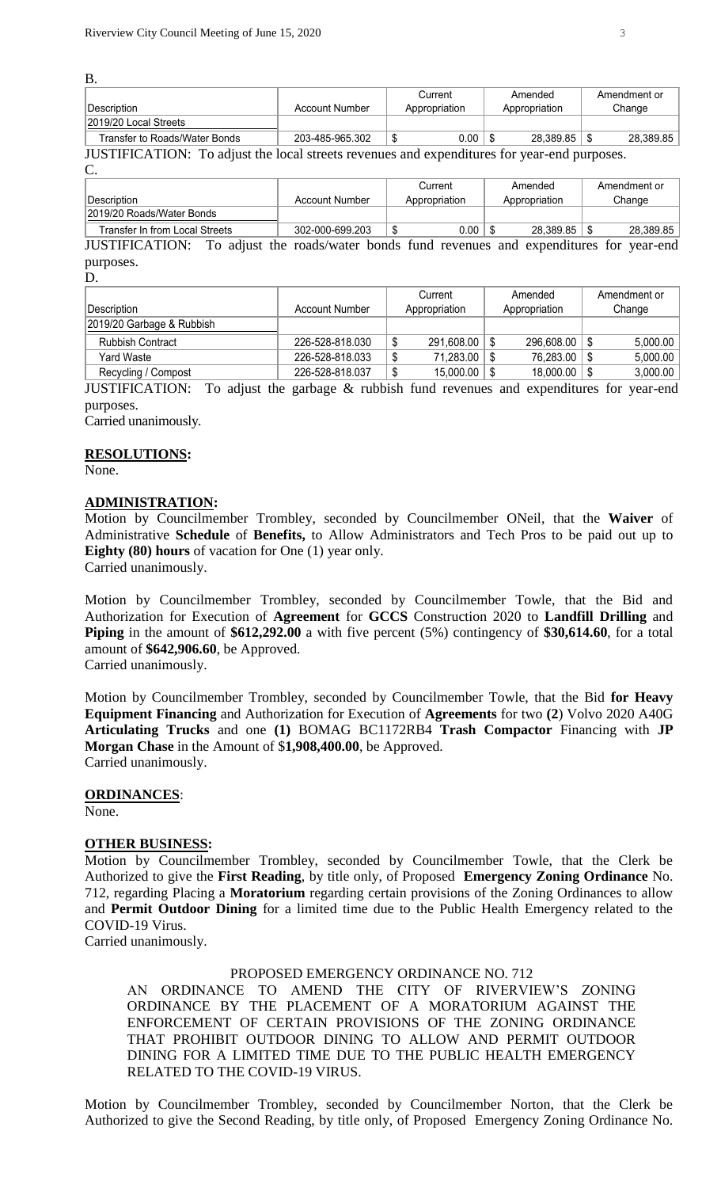B.

|                                          |                 | Current        | Amended       | Amendment or |
|------------------------------------------|-----------------|----------------|---------------|--------------|
| Description                              | Account Number  | Appropriation  | Appropriation | Change       |
| 2019/20 Local Streets                    |                 |                |               |              |
| Transfer to Roads/Water Bonds            | 203-485-965.302 | $0.00\,$<br>ىپ | 28.389.85     | 28,389.85    |
| III $\alpha$ mini $\alpha$ a mi $\alpha$ |                 |                |               |              |

JUSTIFICATION: To adjust the local streets revenues and expenditures for year-end purposes.

 $\mathcal{C}$ 

| --                             |                 |         |               |         |               |              |           |  |
|--------------------------------|-----------------|---------|---------------|---------|---------------|--------------|-----------|--|
|                                |                 | Current |               | Amended |               | Amendment or |           |  |
| <b>Description</b>             | Account Number  |         | Appropriation |         | Appropriation |              | Change    |  |
| 2019/20 Roads/Water Bonds      |                 |         |               |         |               |              |           |  |
| Transfer In from Local Streets | 302-000-699.203 |         | 0.00          |         | 28.389.85     |              | 28.389.85 |  |

JUSTIFICATION: To adjust the roads/water bonds fund revenues and expenditures for year-end purposes.

D.

|                           |                 | Current       |            | Amended       |            | Amendment or |          |
|---------------------------|-----------------|---------------|------------|---------------|------------|--------------|----------|
| ∣Description_             | Account Number  | Appropriation |            | Appropriation |            | Change       |          |
| 2019/20 Garbage & Rubbish |                 |               |            |               |            |              |          |
| <b>Rubbish Contract</b>   | 226-528-818.030 | ₼<br>Φ        | 291,608.00 |               | 296,608.00 |              | 5,000.00 |
| Yard Waste                | 226-528-818.033 | ۰W            | 71,283.00  |               | 76,283.00  |              | 5,000.00 |
| Recycling / Compost       | 226-528-818.037 | œ<br>۰U       | 15,000.00  |               | 18,000.00  |              | 3,000.00 |

JUSTIFICATION: To adjust the garbage & rubbish fund revenues and expenditures for year-end purposes.

Carried unanimously.

### **RESOLUTIONS:**

None.

### **ADMINISTRATION:**

Motion by Councilmember Trombley, seconded by Councilmember ONeil, that the **Waiver** of Administrative **Schedule** of **Benefits,** to Allow Administrators and Tech Pros to be paid out up to **Eighty (80) hours** of vacation for One (1) year only.

Carried unanimously.

Motion by Councilmember Trombley, seconded by Councilmember Towle, that the Bid and Authorization for Execution of **Agreement** for **GCCS** Construction 2020 to **Landfill Drilling** and **Piping** in the amount of \$612,292.00 a with five percent (5%) contingency of \$30,614.60, for a total amount of **\$642,906.60**, be Approved.

Carried unanimously.

Motion by Councilmember Trombley, seconded by Councilmember Towle, that the Bid **for Heavy Equipment Financing** and Authorization for Execution of **Agreements** for two **(2**) Volvo 2020 A40G **Articulating Trucks** and one **(1)** BOMAG BC1172RB4 **Trash Compactor** Financing with **JP Morgan Chase** in the Amount of \$**1,908,400.00**, be Approved. Carried unanimously.

#### **ORDINANCES**:

None.

# **OTHER BUSINESS:**

Motion by Councilmember Trombley, seconded by Councilmember Towle, that the Clerk be Authorized to give the **First Reading**, by title only, of Proposed **Emergency Zoning Ordinance** No. 712, regarding Placing a **Moratorium** regarding certain provisions of the Zoning Ordinances to allow and **Permit Outdoor Dining** for a limited time due to the Public Health Emergency related to the COVID-19 Virus.

Carried unanimously.

# PROPOSED EMERGENCY ORDINANCE NO. 712

AN ORDINANCE TO AMEND THE CITY OF RIVERVIEW'S ZONING ORDINANCE BY THE PLACEMENT OF A MORATORIUM AGAINST THE ENFORCEMENT OF CERTAIN PROVISIONS OF THE ZONING ORDINANCE THAT PROHIBIT OUTDOOR DINING TO ALLOW AND PERMIT OUTDOOR DINING FOR A LIMITED TIME DUE TO THE PUBLIC HEALTH EMERGENCY RELATED TO THE COVID-19 VIRUS.

Motion by Councilmember Trombley, seconded by Councilmember Norton, that the Clerk be Authorized to give the Second Reading, by title only, of Proposed Emergency Zoning Ordinance No.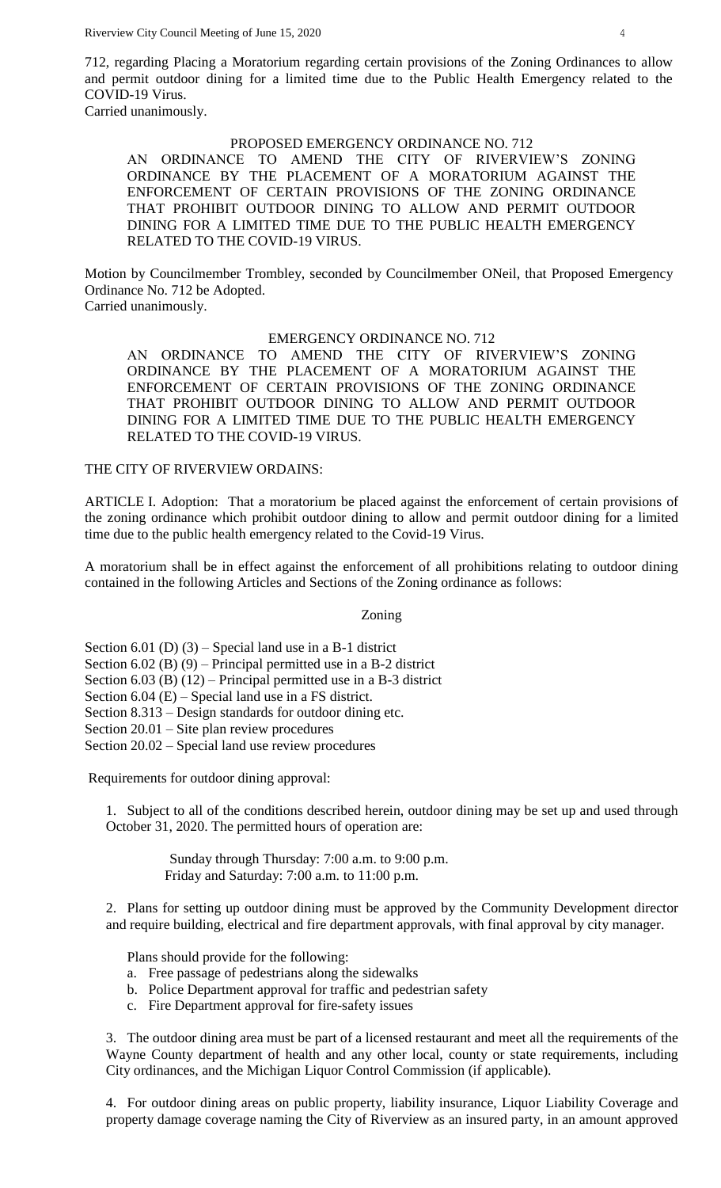712, regarding Placing a Moratorium regarding certain provisions of the Zoning Ordinances to allow and permit outdoor dining for a limited time due to the Public Health Emergency related to the COVID-19 Virus.

Carried unanimously.

### PROPOSED EMERGENCY ORDINANCE NO. 712

AN ORDINANCE TO AMEND THE CITY OF RIVERVIEW'S ZONING ORDINANCE BY THE PLACEMENT OF A MORATORIUM AGAINST THE ENFORCEMENT OF CERTAIN PROVISIONS OF THE ZONING ORDINANCE THAT PROHIBIT OUTDOOR DINING TO ALLOW AND PERMIT OUTDOOR DINING FOR A LIMITED TIME DUE TO THE PUBLIC HEALTH EMERGENCY RELATED TO THE COVID-19 VIRUS.

Motion by Councilmember Trombley, seconded by Councilmember ONeil, that Proposed Emergency Ordinance No. 712 be Adopted. Carried unanimously.

#### EMERGENCY ORDINANCE NO. 712

AN ORDINANCE TO AMEND THE CITY OF RIVERVIEW'S ZONING ORDINANCE BY THE PLACEMENT OF A MORATORIUM AGAINST THE ENFORCEMENT OF CERTAIN PROVISIONS OF THE ZONING ORDINANCE THAT PROHIBIT OUTDOOR DINING TO ALLOW AND PERMIT OUTDOOR DINING FOR A LIMITED TIME DUE TO THE PUBLIC HEALTH EMERGENCY RELATED TO THE COVID-19 VIRUS.

#### THE CITY OF RIVERVIEW ORDAINS:

ARTICLE I. Adoption: That a moratorium be placed against the enforcement of certain provisions of the zoning ordinance which prohibit outdoor dining to allow and permit outdoor dining for a limited time due to the public health emergency related to the Covid-19 Virus.

A moratorium shall be in effect against the enforcement of all prohibitions relating to outdoor dining contained in the following Articles and Sections of the Zoning ordinance as follows:

#### Zoning

Section 6.01 (D) (3) – Special land use in a B-1 district Section 6.02 (B) (9) – Principal permitted use in a B-2 district Section 6.03 (B) (12) – Principal permitted use in a B-3 district Section 6.04 (E) – Special land use in a FS district. Section 8.313 – Design standards for outdoor dining etc. Section 20.01 – Site plan review procedures Section 20.02 – Special land use review procedures

Requirements for outdoor dining approval:

1. Subject to all of the conditions described herein, outdoor dining may be set up and used through October 31, 2020. The permitted hours of operation are:

> Sunday through Thursday: 7:00 a.m. to 9:00 p.m. Friday and Saturday: 7:00 a.m. to 11:00 p.m.

2. Plans for setting up outdoor dining must be approved by the Community Development director and require building, electrical and fire department approvals, with final approval by city manager.

Plans should provide for the following:

- a. Free passage of pedestrians along the sidewalks
- b. Police Department approval for traffic and pedestrian safety
- c. Fire Department approval for fire-safety issues

3. The outdoor dining area must be part of a licensed restaurant and meet all the requirements of the Wayne County department of health and any other local, county or state requirements, including City ordinances, and the Michigan Liquor Control Commission (if applicable).

4. For outdoor dining areas on public property, liability insurance, Liquor Liability Coverage and property damage coverage naming the City of Riverview as an insured party, in an amount approved